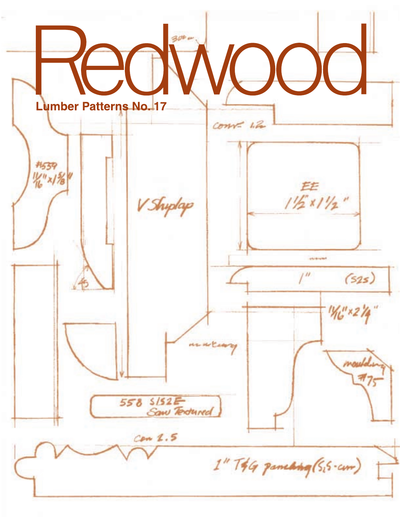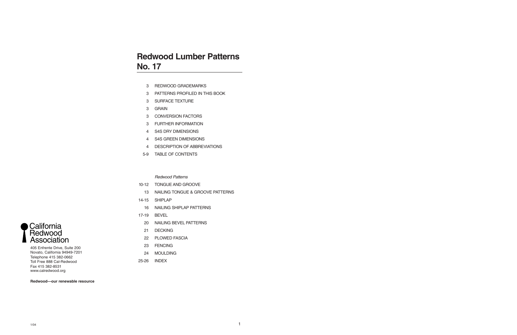## **Redwood Lumber Patterns No. 17**

- 3 REDWOOD GRADEMARKS
- 3 PATTERNS PROFILED IN THIS BOOK
- 3 SURFACE TEXTURE
- 3 GRAIN
- 3 CONVERSION FACTORS
- 3 FURTHER INFORMATION
- 4 S4S DRY DIMENSIONS
- 4 S4S GREEN DIMENSIONS
- 4 DESCRIPTION OF ABBREVIATIONS
- 5-9 TABLE OF CONTENTS

### *Redwood Patterns*

- 10-12 TONGUE AND GROOVE
	- 13 NAILING TONGUE & GROOVE PATTERNS
- 14-15 SHIPLAP
	- 16 NAILING SHIPLAP PATTERNS
- 17-19 BEVEL
	- 20 NAILING BEVEL PATTERNS
	- 21 DECKING
	- 22 PLOWED FASCIA
	- 23 FENCING
	- 24 MOULDING
- 25-26 INDEX



405 Enfrente Drive, Suite 200 Novato, California 94949-7201 Telephone 415 382-0662 Toll Free 888 Cal-Redwood Fax 415 382-8531 www.calredwood.org

**Redwood—our renewable resource**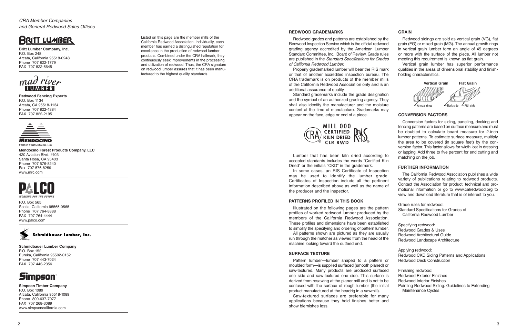## **BRITT LUMBER**

**Britt Lumber Company, Inc.** P.O. Box 248 Arcata, California 95518-0248 Phone 707 822-1779 FAX 707 822-5645

### **Redwood Fencing Experts** P.O. Box 1134 Arcata, CA 95518-1134 Phone 707 822-4384 FAX 707 822-2195



### **MENDOCINO** FOREST PRODUCTS CO., LLC

**Mendocino Forest Products Company, LLC** 420 Aviation Blvd. #103 Santa Rosa, CA 95403 Phone 707 576-8240 Fax 707 576-8259 www.mrc.com

# **WORKING FOR THE FUTURI**

P.O. Box 565 Scotia, California 95565-0565 Phone 707 764-8888 FAX 707 764-4444 www.palco.com



**Schmidbauer Lumber Company** P.O. Box 152 Eureka, California 95502-0152 Phone 707 443-7024 FAX 707 443-2356



**Simpson Timber Company** P.O. Box 1089 Arcata, California 95518-1089 Phone 800-637-7077 FAX 707 268-3089 www.simpsoncalifornia.com

Listed on this page are the member mills of the California Redwood Association. Individually, each member has earned a distinguished reputation for excellence in the production of redwood lumber products. Combined under the CRA hallmark, they continuously seek improvements in the processing and utilization of redwood. Thus, the CRA signature on redwood lumber assures that it has been manufactured to the highest quality standards.

### **REDWOOD GRADEMARKS**

Redwood grades and patterns are established by the Redwood Inspection Service which is the official redwood grading agency accredited by the American Lumber Standard Committee, Inc., Board of Review. Grade rules are published in the *Standard Specifications for Grades of California Redwood Lumber.*

All patterns shown are pictured as they are usual run through the matcher as viewed from the head of the machine looking toward the outfeed end.

Pattern lumber—lumber shaped to a pattern moulded form—is supplied surfaced (smooth planed) saw-textured. Many products are produced surface one side and saw-textured one side. This surface derived from resawing at the planer mill and is not to confused with the surface of rough lumber (the init product manufactured at the headrig in a sawmill).

Properly grademarked lumber will bear the RIS mark or that of another accredited inspection bureau. The CRA trademark is on products of the member mills of the California Redwood Association only and is an additional assurance of quality.

Redwood sidings are sold as vertical grain (VG), flat grain (FG) or mixed grain (MG). The annual growth rings in vertical grain lumber form an angle of 45 degrees or more with the surface of the piece. All lumber not meeting this requirement is known as flat grain.

Standard grademarks include the grade designation and the symbol of an authorized grading agency. They shall also identify the manufacturer and the moisture content at the time of manufacture. Grademarks may appear on the face, edge or end of a piece.

Lumber that has been kiln dried according to accepted standards includes the words "Certified Kiln Dried" or the initials "CKD" in the grademark.

In some cases, an RIS Certificate of Inspection may be used to identify the lumber grade. Certificates of Inspection include all the pertinent information described above as well as the name of the producer and the inspector.

### **PATTERNS PROFILED IN THIS BOOK**

Illustrated on the following pages are the patte profiles of worked redwood lumber produced by the members of the California Redwood Associatio These profiles and dimensions have been established to simplify the specifying and ordering of pattern lumber

### **SURFACE TEXTURE**

Saw-textured surfaces are preferable for many applications because they hold finishes better and show blemishes less.

### **GRAIN**

Vertical grain lumber has superior performance qualities in the areas of dimensional stability and finishholding characteristics.

### **CONVERSION FACTORS**

Conversion factors for siding, paneling, decking and fencing patterns are based on surface measure and must be doubled to calculate board measure for 2-inch lumber patterns. To estimate surface measure, multiply the area to be covered (in square feet) by the conversion factor. This factor allows for width lost in dressing or lapping. Add three to five percent for end cutting and matching on the job.

### **FURTHER INFORMATION**

The California Redwood Association publishes a wide variety of publications relating to redwood products. Contact the Association for product, technical and promotional information or go to www.calredwood.org to view and download literature that is of interest to you.

| ern<br>he<br>οn. | Grade rules for redwood:<br>Standard Specifications for Grades of<br>California Redwood Lumber |
|------------------|------------------------------------------------------------------------------------------------|
| ed<br>er.        | Specifying redwood:                                                                            |
| ally             | Redwood Grades & Uses                                                                          |
| :he              | Redwood Architectural Guide                                                                    |
|                  | Redwood Landscape Architecture                                                                 |
|                  | Applying redwood:                                                                              |
|                  | Redwood CKD Siding Patterns and Applications                                                   |
| or               | <b>Redwood Deck Construction</b>                                                               |
| or               |                                                                                                |
| ed               | Finishing redwood:                                                                             |
| is               | <b>Redwood Exterior Finishes</b>                                                               |
| be               | Redwood Interior Finishes                                                                      |
| tial             | Painting Redwood Siding: Guidelines to Extending<br><b>Maintenance Cycles</b>                  |





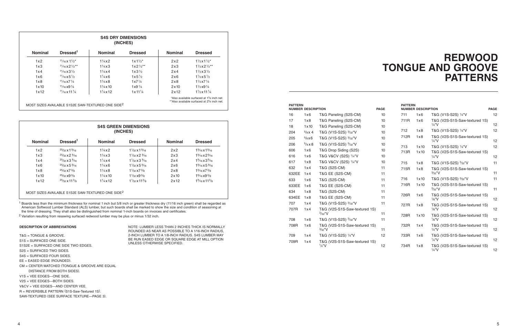|       | <b>PATTERN</b><br><b>NUMBER DESCRIPTION</b> |                                                    |    | <b>PATTERN</b><br><b>NUMBER DESCRIPTION</b> |               |                                                    | <b>PAGE</b> |
|-------|---------------------------------------------|----------------------------------------------------|----|---------------------------------------------|---------------|----------------------------------------------------|-------------|
| 16    | 1x6                                         | T&G Paneling (S2S-CM)                              | 10 | 711                                         | 1x6           | T&G (V1S-S2S) 1/4"V                                | 12          |
| 17    | 1x8                                         | T&G Paneling (S2S-CM)                              | 10 | 711R                                        | 1x6           | T&G (V2S-S1S-Saw-textured 1S)                      |             |
| 18    | $1 \times 10$                               | T&G Paneling (S2S-CM)                              | 10 |                                             |               | $1/4$ "V                                           | 12          |
| 204   | $\frac{5}{8} \times 4$                      | T&G (V1S-S2S) 3/32"V                               | 10 | 712                                         | 1x8           | T&G (V1S-S2S) 1/4"V                                | 12          |
| 205   | $5/8\times 6$                               | T&G (V1S-S2S) 3/32"V                               | 10 | 712R                                        | 1x8           | T&G (V2S-S1S-Saw-textured 1S)<br>$\frac{1}{4}$ "V  | 12          |
| 206   | $^{5}/_{8}$ x 8                             | T&G (V1S-S2S) 3/32"V                               | 10 | 713                                         | $1 \times 10$ | T&G (V1S-S2S) 1/4"V                                | 12          |
| 606   | 1x6                                         | T&G Drop Siding (S2S)                              | 10 | 713R                                        | $1 \times 10$ | T&G (V2S-S1S-Saw-textured 1S)                      |             |
| 616   | 1x6                                         | T&G V&CV (S2S) 1/4"V                               | 10 |                                             |               | $\frac{1}{4}$ "V                                   | 12          |
| 617   | 1x8                                         | T&G V&CV (S2S) 1/4"V                               | 10 | 715                                         | 1x8           | T&G (V1S-S2S) 3/32"V                               | 11          |
| 632   | 1x4                                         | T&G (S2S-CM)                                       | 11 | 715R                                        | 1x8           | T&G (V2S-S1S-Saw-textured 1S)                      |             |
| 632EE | 1x4                                         | T&G EE (S2S-CM)                                    | 11 |                                             |               | $\frac{3}{32}$ "V                                  | 11          |
| 633   | 1x6                                         | T&G (S2S-CM)                                       | 11 | 716                                         | $1 \times 10$ | T&G (V1S-S2S) 3/32"V                               | 11          |
| 633EE | 1x6                                         | T&G EE (S2S-CM)                                    | 11 | 716R                                        | 1x10          | T&G (V2S-S1S-Saw-textured 1S)<br>$\frac{3}{32}$ "V | 11          |
| 634   | 1x8                                         | T&G (S2S-CM)                                       | 11 |                                             |               |                                                    |             |
| 634EE | 1x8                                         | T&G EE (S2S-CM)                                    | 11 | 726R                                        | 1x6           | T&G (V2S-S1S-Saw-textured 1S)<br>$\frac{1}{8}$ "V  | 12          |
| 707   | 1x4                                         | T&G (V1S-S2S) 3/32"V                               | 11 | 727R                                        | 1x8           | T&G (V2S-S1S-Saw-textured 1S)                      |             |
| 707R  | 1x4                                         | T&G (V2S-S1S-Saw-textured 1S)                      |    |                                             |               | $\frac{1}{8}$ "V                                   | 12          |
|       |                                             | 3/32''V                                            | 11 | 728R                                        | $1 \times 10$ | T&G (V2S-S1S-Saw-textured 1S)                      |             |
| 708   | 1x6                                         | T&G (V1S-S2S) 3/32"V                               | 11 |                                             |               | $\frac{1}{8}$ "V                                   | 12          |
| 708R  | 1x6                                         | T&G (V2S-S1S-Saw-textured 1S)<br>$\frac{3}{32}$ "V | 11 | 732R                                        | 1x4           | T&G (V2S-S1S-Saw-textured 1S)<br>$\frac{1}{4}$ "V  | 12          |
| 709   | 1x4                                         | T&G (V1S-S2S) ¼"V                                  | 12 | 733R                                        | 1x6           | T&G (V2S-S1S-Saw-textured 1S)                      |             |
| 709R  | 1x4                                         | T&G (V2S-S1S-Saw-textured 1S)                      |    |                                             |               | $1/4$ "V                                           | 12          |
|       |                                             | $\frac{1}{4}$ "V                                   | 12 | 734R                                        | 1x8           | T&G (V2S-S1S-Saw-textured 1S)<br>$1/4$ "V          | 12          |

## **REDWOOD TONGUE AND GROOVE PATTERNS**

### **DESCRIPTION OF ABBREVIATIONS**

T&G = TONGUE & GROOVE.

- S1S = SURFACED ONE SIDE.
- S1S2E = SURFACED ONE SIDE TWO EDGES.
- S2S = SURFACED TWO SIDES.
- S4S = SURFACED FOUR SIDES.
- EE = EASED EDGE (ROUNDED).
- CM = CENTER MATCHED (TONGUE & GROOVE ARE EQUAL
- DISTANCE FROM BOTH SIDES).
- V1S = VEE EDGES—ONE SIDE.
- V2S = VEE EDGES—BOTH SIDES.
- V&CV = VEE EDGES—AND CENTER VEE.
- R = REVERSIBLE PATTERN (S1S-Saw-Textured 1S).
- SAW-TEXTURED (SEE SURFACE TEXTURE—PAGE 3).

<sup>1</sup> Boards less than the minimum thickness for nominal 1 inch but 5/8 inch or greater thickness dry (11/16 inch green) shall be regarded as American Softwood Lumber Standard (ALS) lumber, but such boards shall be marked to show the size and condition of seasoning at the time of dressing. They shall also be distinguished from nominal 1-inch boards on invoices and certificates.

> NOTE: LUMBER LESS THAN 2 INCHES THICK IS NORMALLY ROUNDED AS NEAR AS POSSIBLE TO A 1⁄16-INCH RADIUS, 2-INCH LUMBER TO A 1/8-INCH RADIUS. S4S LUMBER MAY BE RUN EASED EDGE OR SQUARE EDGE AT MILL OPTION

UNLESS OTHERWISE SPECIFIED.

| <b>S4S DRY DIMENSIONS</b><br>(INCHES) |                                                               |                         |                    |                |                                                                                                                   |  |  |  |  |
|---------------------------------------|---------------------------------------------------------------|-------------------------|--------------------|----------------|-------------------------------------------------------------------------------------------------------------------|--|--|--|--|
| <b>Nominal</b>                        | Dressed <sup>1</sup>                                          | <b>Nominal</b>          | <b>Dressed</b>     | <b>Nominal</b> | <b>Dressed</b>                                                                                                    |  |  |  |  |
| 1x2                                   | $11/16 \times 11/2^*$                                         | $1\frac{1}{4}x2$        | $1x1\frac{1}{2}$   | 2x2            | $1\frac{1}{2}x1\frac{1}{2}x$                                                                                      |  |  |  |  |
| 1x3                                   | $\frac{11}{46}$ x 2 $\frac{1}{2}$ **                          | $1\frac{1}{4} \times 3$ | $1x2\frac{1}{2}**$ | 2x3            | $1\frac{1}{2}x2\frac{1}{2}**$                                                                                     |  |  |  |  |
| 1x4                                   | $\frac{11}{46}$ x 3 $\frac{1}{2}$                             | $1\frac{1}{4}x4$        | $1x3\frac{1}{2}$   | 2x4            | $1\frac{1}{2}x3\frac{1}{2}$                                                                                       |  |  |  |  |
| 1x6                                   | $\frac{11}{46}$ x 5 $\frac{1}{2}$                             | $1\frac{1}{4}$ x 6      | $1x5\frac{1}{2}$   | 2x6            | $1\frac{1}{2}x5\frac{1}{2}$                                                                                       |  |  |  |  |
| 1x8                                   | $\frac{11}{16}$ x 7 $\frac{1}{4}$                             | $1\frac{1}{4}x8$        | $1x7\frac{1}{4}$   | 2x8            | $1\frac{1}{2}x7\frac{1}{4}$                                                                                       |  |  |  |  |
| $1 \times 10$                         | $\frac{11}{46}$ x9 $\frac{1}{4}$                              | $1\frac{1}{4}$ x 10     | $1x9\frac{1}{4}$   | $2 \times 10$  | $1\frac{1}{2}$ x9 $\frac{1}{4}$                                                                                   |  |  |  |  |
| 1x12                                  | $11/16 \times 11^{1/4}$                                       | $1\frac{1}{4}x12$       | $1x11\frac{1}{4}$  | 2x12           | $1\frac{1}{2}x11\frac{1}{4}$                                                                                      |  |  |  |  |
|                                       | MOST SIZES AVAILABLE S1S2E SAW-TEXTURED ONE SIDE <sup>2</sup> |                         |                    |                | *Also available surfaced at 1 <sup>5</sup> % inch net.<br>**Also available surfaced at 2 <sup>5</sup> % inch net. |  |  |  |  |

| <b>S4S GREEN DIMENSIONS</b><br>(INCHES) |                              |                         |                                    |                |                    |  |  |  |
|-----------------------------------------|------------------------------|-------------------------|------------------------------------|----------------|--------------------|--|--|--|
| <b>Nominal</b>                          | Dressed <sup>1</sup>         | <b>Nominal</b>          | <b>Dressed</b>                     | <b>Nominal</b> | <b>Dressed</b>     |  |  |  |
| 1x2                                     | $25/32 \times 1\frac{9}{16}$ | $1\frac{1}{4}x2$        | $1\frac{1}{32}$ x $1\frac{9}{16}$  | 2x2            | $1\%$ 6 x $1\%$    |  |  |  |
| 1x3                                     | $25/32 \times 29/16$         | $1\frac{1}{4} \times 3$ | $1\frac{1}{32}$ x 2 $\frac{9}{16}$ | 2x3            | $1\%6x2\%6$        |  |  |  |
| 1x4                                     | $25/32 \times 3\frac{9}{16}$ | $1\frac{1}{4}x4$        | $1\frac{1}{32}$ x 3 $\frac{9}{16}$ | 2x4            | $1\%6x3\%6$        |  |  |  |
| 1x6                                     | $25/32 \times 5\%$ 16        | $1\frac{1}{4}$ x 6      | $1\frac{1}{32}x5\frac{9}{16}$      | 2x6            | $1\%6\times5\%6$   |  |  |  |
| 1x8                                     | $25/32 \times 73/8$          | $1\frac{1}{4}x8$        | $1\frac{1}{32}x7\frac{3}{8}$       | 2x8            | $1\%6x7\%$         |  |  |  |
| $1 \times 10$                           | $25/32 \times 9^{3}/8$       | $1\frac{1}{4}$ x 10     | $1\frac{1}{32}$ x9 $\frac{3}{8}$   | $2 \times 10$  | $1\%6x9\%$         |  |  |  |
| 1x12                                    | $25/32 \times 11^{3}/8$      | $1\frac{1}{4}x12$       | $1\frac{1}{32}$ x 11 $\frac{3}{8}$ | 2x12           | $1\%6 \times 11\%$ |  |  |  |

MOST SIZES AVAILABLE S1S2E SAW-TEXTURED ONE SIDE2

2 Variation resulting from resawing surfaced redwood lumber may be plus or minus 1/32 inch.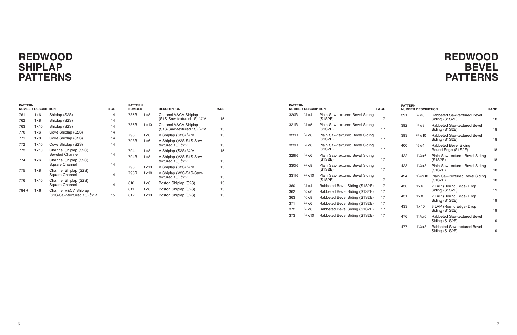| <b>PATTERN</b><br><b>NUMBER DESCRIPTION</b> |      |                        | <b>PAGE</b>                                | <b>PATTERN</b><br><b>NUMBER DESCRIPTION</b> |     |                         |                                               |    |
|---------------------------------------------|------|------------------------|--------------------------------------------|---------------------------------------------|-----|-------------------------|-----------------------------------------------|----|
|                                             | 320R | $\frac{1}{2}x4$        | Plain Saw-textured Bevel Siding<br>(S1S2E) | 17                                          | 391 | $\frac{3}{4}$ x 6       | Rabbeted Saw-textured Bevel<br>Siding (S1S2E) | 18 |
|                                             | 321R | $\frac{1}{2}x5$        | Plain Saw-textured Bevel Siding<br>(S1S2E) | 17                                          | 392 | $\frac{3}{4} \times 8$  | Rabbeted Saw-textured Bevel<br>Siding (S1S2E) | 18 |
|                                             | 322R | $\frac{1}{2}x6$        | Plain Saw-textured Bevel Siding<br>(S1S2E) | 17                                          | 393 | $\frac{3}{4}$ x 10      | Rabbeted Saw-textured Bevel<br>Siding (S1S2E) | 18 |
|                                             | 323R | $\frac{1}{2}x8$        | Plain Saw-textured Bevel Siding<br>(S1S2E) | 17                                          | 400 | $\frac{1}{2}x4$         | Rabbeted Bevel Siding<br>Round Edge (S1S2E)   | 18 |
|                                             | 329R | $\frac{3}{4}$ x 6      | Plain Saw-textured Bevel Siding<br>(S1S2E) | 17                                          | 422 | $1\frac{1}{4} \times 6$ | Plain Saw-textured Bevel Siding<br>(S1S2E)    | 18 |
|                                             | 330R | $\frac{3}{4} \times 8$ | Plain Saw-textured Bevel Siding<br>(S1S2E) | 17                                          | 423 | $1\frac{1}{4} \times 8$ | Plain Saw-textured Bevel Siding<br>(S1S2E)    | 18 |
|                                             | 331R | $\frac{3}{4}$ x 10     | Plain Saw-textured Bevel Siding<br>(S1S2E) | 17                                          | 424 | $1\frac{1}{4}$ x 10     | Plain Saw-textured Bevel Siding<br>(S1S2E)    | 18 |
|                                             | 360  | $\frac{1}{2}x4$        | Rabbeted Bevel Siding (S1S2E)              | 17                                          | 430 | 1x6                     | 2 LAP (Round Edge) Drop                       |    |
|                                             | 362  | $\frac{1}{2}$ x 6      | Rabbeted Bevel Siding (S1S2E)              | 17                                          |     |                         | Siding (S1S2E)                                | 19 |
|                                             | 363  | $\frac{1}{2}x8$        | Rabbeted Bevel Siding (S1S2E)              | 17                                          | 431 | 1x8                     | 2 LAP (Round Edge) Drop<br>Siding (S1S2E)     | 19 |
|                                             | 371  | $\frac{3}{4}$ x 6      | Rabbeted Bevel Siding (S1S2E)              | 17                                          | 433 |                         |                                               |    |
|                                             | 372  | $\frac{3}{4} \times 8$ | Rabbeted Bevel Siding (S1S2E)              | 17                                          |     | 1x10                    | 3 LAP (Round Edge) Drop<br>Siding (S1S2E)     | 19 |
|                                             | 373  | $\frac{3}{4}$ x 10     | Rabbeted Bevel Siding (S1S2E)              | 17                                          | 476 | $1\frac{1}{4}$ x 6      | Rabbeted Saw-textured Bevel<br>Siding (S1S2E) | 19 |
|                                             |      |                        |                                            |                                             | 477 | $1\frac{1}{4} \times 8$ | Rabbeted Saw-textured Bevel<br>Siding (S1S2E) | 19 |

| <b>PATTERN</b> | <b>NUMBER DESCRIPTION</b> |                                         | <b>PAGE</b> | <b>PATTERN</b><br><b>NUMBER</b> |      | <b>DESCRIPTION</b>                                  | <b>PAGE</b> |
|----------------|---------------------------|-----------------------------------------|-------------|---------------------------------|------|-----------------------------------------------------|-------------|
| 761            | 1x6                       | Shiplap (S2S)                           | 14          | 785R                            | 1x8  | Channel V&CV Shiplap                                |             |
| 762            | 1x8                       | Shiplap (S2S)                           | 14          |                                 |      | (S1S-Saw-textured 1S) 1/4"V                         | 15          |
| 763            | $1 \times 10$             | Shiplap (S2S)                           | 14          | 786R                            | 1x10 | Channel V&CV Shiplap<br>(S1S-Saw-textured 1S) 1/4"V | 15          |
| 770            | 1x6                       | Cove Shiplap (S2S)                      | 14          | 793                             | 1x6  | V Shiplap (S2S) 1/4"V                               | 15          |
| 771            | 1x8                       | Cove Shiplap (S2S)                      | 14          | 793R                            | 1x6  | V Shiplap (V2S-S1S-Saw-                             |             |
| 772            | 1x10                      | Cove Shiplap (S2S)                      | 14          |                                 |      | textured $1S$ ) $\frac{1}{4}$ "V                    | 15          |
| 773            | 1x10                      | Channel Shiplap (S2S)                   |             | 794                             | 1x8. | V Shiplap (S2S) 1/4"V                               | 15          |
|                |                           | <b>Beveled Channel</b>                  | 14          | 794R                            | 1x8  | V Shiplap (V2S-S1S-Saw-                             |             |
| 774            | 1x6                       | Channel Shiplap (S2S)                   |             |                                 |      | textured 1S) 1/4"V                                  | 15          |
|                |                           | Square Channel                          | 14          | 795                             | 1x10 | V Shiplap (S2S) 1/4"V                               | 15          |
| 775            | 1x8                       | Channel Shiplap (S2S)<br>Square Channel | 14          | 795R                            | 1x10 | V Shiplap (V2S-S1S-Saw-<br>textured 1S) 1/4"V       | 15          |
| 776            | 1x10                      | Channel Shiplap (S2S)                   |             |                                 |      |                                                     |             |
|                |                           | Square Channel                          | 14          | 810                             | 1x6  | Boston Shiplap (S2S)                                | 15          |
| 784R           | 1x6                       | Channel V&CV Shiplap                    |             | 811                             | 1x8  | Boston Shiplap (S2S)                                | 15          |
|                |                           | (S1S-Saw-textured 1S) $\frac{1}{4}$ "V  | 15          | 812                             | 1x10 | Boston Shiplap (S2S)                                | 15          |

## **REDWOOD BEVEL PATTERNS**

## **REDWOOD SHIPLAP PATTERNS**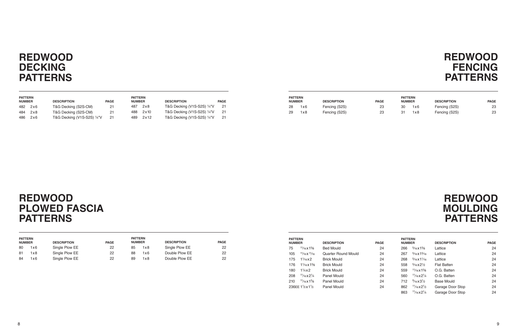| <b>PATTERN</b><br><b>NUMBER</b> | <b>DESCRIPTION</b>          | <b>PAGE</b> | <b>PATTERN</b><br><b>NUMBER</b> | <b>DESCRIPTION</b>                     | <b>PAGE</b> | <b>PATTERN</b><br><b>NUMBER</b> | <b>DESCRIPTION</b> | <b>PAGE</b> | <b>PATTERN</b><br><b>NUMBER</b> | <b>DESCRIPTION</b> | <b>PAGE</b> |
|---------------------------------|-----------------------------|-------------|---------------------------------|----------------------------------------|-------------|---------------------------------|--------------------|-------------|---------------------------------|--------------------|-------------|
| 482 2x6                         | T&G Decking (S2S-CM)        |             | 487<br>2x8                      | T&G Decking (V1S-S2S) 1/4"V            |             | 1x6                             | Fencing (S2S)      |             | 30<br>1x6                       | Fencing (S2S)      | 23          |
| 484 2x8                         | T&G Decking (S2S-CM)        |             | 488<br>2 x 10                   | T&G Decking (V1S-S2S) $\frac{1}{4}$ "V |             | 1x8                             | Fencing (S2S)      |             | 31<br>1x8                       | Fencing (S2S)      | 23          |
| 486 2x6                         | T&G Decking (V1S-S2S) 1/4"V |             | 2x12<br>489                     | T&G Decking (V1S-S2S) 1/4"V            | -21         |                                 |                    |             |                                 |                    |             |

## **REDWOOD FENCING PATTERNS**

| <b>PATTERN</b><br><b>NUMBER</b> |                                                 | <b>DESCRIPTION</b>  | <b>PAGE</b> | <b>PATTERN</b><br><b>NUMBER</b> |                                                | <b>DESCRIPTION</b> | <b>PAGE</b> |
|---------------------------------|-------------------------------------------------|---------------------|-------------|---------------------------------|------------------------------------------------|--------------------|-------------|
| 75                              | $\frac{11}{16}$ x 1 <sup>5</sup> / <sub>8</sub> | <b>Bed Mould</b>    | 24          | 266                             | $\frac{5}{16}$ x 1 $\frac{5}{8}$               | Lattice            | 24          |
| 105                             | $11/16X$ $11/16$                                | Quarter Round Mould | 24          | 267                             | $\frac{5}{16}$ x 1 $\frac{5}{16}$              | Lattice            | 24          |
| 175                             | $1\frac{1}{16} \times 2$                        | <b>Brick Mould</b>  | 24          | 268                             | $\frac{5}{16}$ x 1 $\frac{1}{16}$              | Lattice            | 24          |
| 176                             | $1\frac{1}{18}$ x $1\frac{5}{8}$                | <b>Brick Mould</b>  | 24          | 558                             | $\frac{5}{16}$ x2 <sup>1</sup> / <sub>2</sub>  | <b>Flat Batten</b> | 24          |
| 180                             | $1\frac{1}{4}x^2$                               | <b>Brick Mould</b>  | 24          | 559                             | $11/16 \times 15/8$                            | O.G. Batten        | 24          |
| 208                             | $11/16 \times 21/4$                             | Panel Mould         | 24          | 560                             | $11/16 \times 21/4$                            | O.G. Batten        | 24          |
| 210                             | $\frac{11}{16}$ x 1 <sup>5</sup> / <sub>8</sub> | Panel Mould         | 24          | 712                             | $\frac{9}{16}$ x 3 <sup>1</sup> / <sub>2</sub> | <b>Base Mould</b>  | 24          |
|                                 | 236EE 11/2x11/2                                 | Panel Mould         | 24          | 862                             | $\frac{11}{16}$ x 2 $\frac{1}{2}$              | Garage Door Stop   | 24          |
|                                 |                                                 |                     |             | 863                             | $11/16X2^{1/4}$                                | Garage Door Stop   | 24          |

## **REDWOOD MOULDING PATTERNS**

## **REDWOOD DECKING PATTERNS**

## **REDWOOD PLOWED FASCIA PATTERNS**

| <b>PATTERN</b><br><b>DESCRIPTION</b><br><b>PAGE</b><br><b>NUMBER</b> |     |                | <b>PATTERN</b><br><b>PAGE</b><br><b>DESCRIPTION</b><br><b>NUMBER</b> |    |     |                |    |
|----------------------------------------------------------------------|-----|----------------|----------------------------------------------------------------------|----|-----|----------------|----|
| 80                                                                   | 1x6 | Single Plow EE | 22                                                                   | 85 | 1x8 | Single Plow EE | 22 |
| 81                                                                   | 1x8 | Single Plow EE | 22                                                                   | 88 | 1x6 | Double Plow EE | 22 |
| 84                                                                   | 1x6 | Single Plow EE | 22                                                                   | 89 | 1x8 | Double Plow EE | 22 |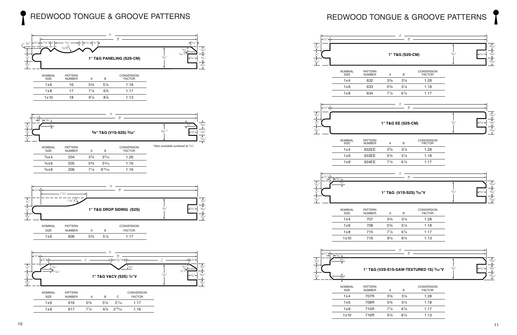## REDWOOD TONGUE & GROOVE PATTERNS









| <b>NOMINAL</b><br>SIZE | <b>PATTERN</b><br><b>NUMBER</b> |                | в              | <b>CONVERSION</b><br><b>FACTOR</b> |
|------------------------|---------------------------------|----------------|----------------|------------------------------------|
| 1x6                    | 16                              | $5\%$          | $5\frac{1}{8}$ | 1.18                               |
| 1x8                    | 17                              | 71⁄8           | $6\%$          | 1.17                               |
| 1 x 10                 | 18                              | $9\frac{1}{8}$ | 8%             | 1.13                               |

| <b>NOMINAL</b><br>SIZE | <b>PATTERN</b><br><b>NUMBER</b> | А              | B               | <b>CONVERSION</b><br><b>FACTOR</b> |
|------------------------|---------------------------------|----------------|-----------------|------------------------------------|
| $\frac{5}{8} \times 4$ | 204                             | $3\frac{3}{8}$ | $3\frac{3}{16}$ | 1.26                               |
| $5/8\times 6$          | 205                             | $5\%$          | $5\frac{3}{16}$ | 1.16                               |
| $\frac{5}{8}$ x 8      | 206                             | $7^{1/8}$      | $6^{15/16}$     | 1.16                               |

| 1x6            | 606            | $5\frac{3}{8}$ | $5\frac{1}{8}$ | 117               |
|----------------|----------------|----------------|----------------|-------------------|
| SIZE           | <b>NUMBER</b>  |                | B              | <b>FACTOR</b>     |
| <b>NOMINAL</b> | <b>PATTERN</b> |                |                | <b>CONVERSION</b> |

| <b>NOMINAL</b> | <b>PATTERN</b> |                |                |                 | <b>CONVERSION</b> |  |
|----------------|----------------|----------------|----------------|-----------------|-------------------|--|
| <b>SIZE</b>    | <b>NUMBER</b>  |                | B              |                 | <b>FACTOR</b>     |  |
| 1x6            | 616            | $5\%$          | $5\frac{1}{8}$ | $2\frac{1}{16}$ | 1 17              |  |
| 1x8            | 617            | $7\frac{1}{8}$ | $6\%$          | $2^{15/16}$     | 1.16              |  |
|                |                |                |                |                 |                   |  |

# REDWOOD TONGUE & GROOVE PATTERNS

\*Also available surfaced at 7⁄16''.



 $7\frac{1}{8}$  6<sup>7</sup>/8

 $9\frac{1}{8}$  8/<sub>8</sub>

⁄8 1.17

⁄8 1.13

| <b>NOMINAL</b><br>SIZE | <b>PATTERN</b><br><b>NUMBER</b> |
|------------------------|---------------------------------|
| 1x4                    | 707R                            |
| 1x6                    | 708R                            |
| 1x8                    | 715R                            |
| 1x10                   | 716R                            |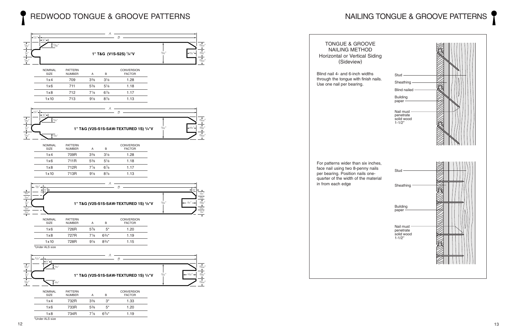## REDWOOD TONGUE & GROOVE PATTERNS NAILING TONGUE & GROOVE PATTERNS

### $-B$ A <sup>11</sup>/16" <sup>13</sup>/64" <sup>9</sup>/32" <sup>13</sup>/64" <sup>9</sup>/32" <sup>7</sup>/32" /4" /4" <sup>7</sup>/32" <sup>1</sup>/4" **1" T&G (V1S-S2S) 1/4"V** B A <sup>11</sup>/16" <sup>13</sup>/64" <sup>9</sup>/32" <sup>13</sup>/64" <sup>9</sup>/32" <sup>7</sup>/32" /4" <sup>7</sup>/32" <sup>1</sup>/4" **1" T&G (V2S-S1S-SAW-TEXTURED 1S) 1/4"V** /4" 5/32" <sup>5</sup>/32" 5/32" B A <sup>11</sup>/16" <sup>13</sup>/64"  $\frac{9}{32}$ <sup>13</sup>/64" <sup>13</sup>/32" <sup>7</sup>/32" /4" <sup>7</sup>/32" <sup>3</sup>/8" **1" T&G (V2S-S1S-SAW-TEXTURED 1S) 1/4"V** /4" 5/32" 5/32" B A <sup>11</sup>/16" <sup>9</sup>/32" <sup>7</sup>/16" <sup>7</sup>/64" <sup>7</sup>/64" /8" <sup>3</sup>/32" <sup>3</sup>/32" 1 /4" <sup>3</sup>/8" **1" T&G (V2S-S1S-SAW-TEXTURED 1S) 1/8"V** /8" 7/64" 7/64" 7/64" 7/64" NOMINAL PATTERN CONVERSION **NUMBER** 1x4 709 33⁄8 31⁄8 1.28 1x6 711 53⁄8 51⁄8 1.18  $1 \times 8$  712 7<sup>1</sup>/8 6<sup>7</sup>/8 ⁄8 1.17 1 x 10 713  $9\frac{1}{8}$  8<sup>7</sup>/8 ⁄8 1.13 NOMINAL PATTERN CONVERSION<br>
SIZE NUMBER A B FACTOR NUMBER 1x4 709R 3<sup>3</sup>/8 3<sup>1</sup>/8 1.28 1x6 711R 53⁄8 51⁄8 1.18 1x8 712R 7<sup>1</sup>/8 6<sup>7</sup>/8 ⁄8 1.17 1x10 713R 9<sup>1</sup>/8 8<sup>7</sup>/8 ⁄8 1.13 NOMINAL PATTERN CONVERSION<br>
SIZE NUMBER A B FACTOR **NUMBER** 1x6 726R 5<sup>3</sup>% 5<sup>\*</sup> 1.20 1x8 727R 71⁄8 63⁄4\* 1.19 1x10 728R 9<sup>1</sup>/8 8<sup>3</sup>/<sub>4</sub>\* 1.15 \*Under ALS size NOMINAL PATTERN CONVERSION

| SIZE            | <b>NUMBER</b> |                | в          | <b>FACTOR</b> |
|-----------------|---------------|----------------|------------|---------------|
| 1x4             | 732R          | $3\frac{3}{8}$ | $3^*$      | 1.33          |
| 1x6             | 733R          | $5\%$          | $5^*$      | 1.20          |
| 1x8             | 734R          | $7\frac{1}{8}$ | $6^{3/4*}$ | 1.19          |
| *Under ALS size |               |                |            |               |



TONGUE & GROOVE NAILING METHOD Horizontal or Vertical Siding (Sideview)

Blind nail 4- and 6-inch widths through the tongue with finish nails. Use one nail per bearing.

For patterns wider than six inches, face nail using two 8-penny nails per bearing. Position nails onequarter of the width of the material in from each edge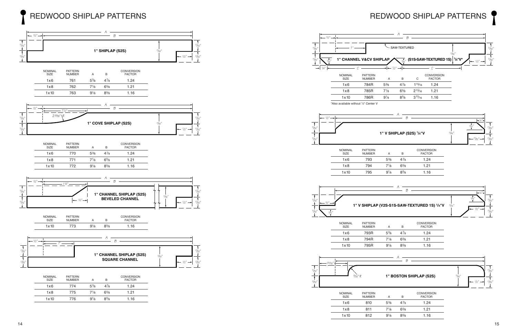

| <b>PATTERN</b><br><b>NUMBER</b> | А              | B              | <b>CONVERSION</b><br><b>FACTOR</b> |
|---------------------------------|----------------|----------------|------------------------------------|
| 774                             | $5\%$          | $4\frac{7}{8}$ | 1.24                               |
| 775                             | $7\frac{1}{8}$ | $6\frac{5}{8}$ | 1.21                               |
| 776                             | $9\frac{1}{8}$ | $8\frac{5}{8}$ | 1.16                               |
|                                 |                |                |                                    |



### B

A

<sup>11</sup>/32"

 $11/16"$ 

 $\frac{1}{2}$ 

<sup>17</sup>/32"─<del>→</del> 11/32"





### **1" BOSTON SHIPLAP (S2S)**





## NOMINAL PATTERN CONVERSION SIZE NUMBER A B FACTOR  $1.24$ 1x8 794 71⁄8 65⁄8 1.21 1x10 795 91⁄8 85⁄8 1.16

| <b>NOMINAL</b><br><b>SIZE</b> | <b>PATTERN</b><br><b>NUMBER</b> | А              | в              | <b>CONVERSION</b><br><b>FACTOR</b> |
|-------------------------------|---------------------------------|----------------|----------------|------------------------------------|
| 1x6                           | 793R                            | $5\%$          | $4\frac{7}{8}$ | 1.24                               |
| 1x8                           | 794R                            | $7\frac{1}{8}$ | $6\%$          | 1.21                               |
| 1x10                          | 795R                            | $9\frac{1}{8}$ | $8\frac{5}{8}$ | 1.16                               |

| <b>NOMINAL</b><br><b>SIZE</b> | <b>PATTERN</b><br><b>NUMBER</b> | А              | в              | <b>CONVERSION</b><br><b>FACTOR</b> |
|-------------------------------|---------------------------------|----------------|----------------|------------------------------------|
| 1x6                           | 810                             | $5\%$          | $4\frac{7}{8}$ | 1.24                               |
| 1x8                           | 811                             | $7\frac{1}{8}$ | $6\frac{5}{8}$ | 1.21                               |
| 1x10                          | 812                             | $9\frac{1}{8}$ | $8\frac{5}{8}$ | 1.16                               |
|                               |                                 |                |                |                                    |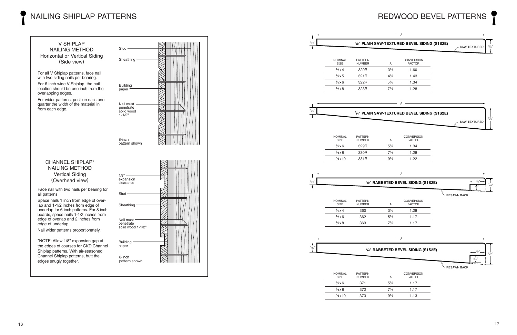## NAILING SHIPLAP PATTERNS



|                        |                                 |                |                                                             | REDWOOD BEVEL PATTERNS                            |
|------------------------|---------------------------------|----------------|-------------------------------------------------------------|---------------------------------------------------|
|                        |                                 |                | A                                                           |                                                   |
|                        |                                 |                | 1/2" PLAIN SAW-TEXTURED BEVEL SIDING (S1S2E)                | 7/6"<br>- SAW-TEXTURED                            |
|                        |                                 |                |                                                             |                                                   |
| NOMINAL<br>SIZE        | <b>PATTERN</b><br><b>NUMBER</b> | Α              | <b>CONVERSION</b><br><b>FACTOR</b>                          |                                                   |
| $1/2\times 4$          | 320R                            | $3\frac{1}{2}$ | 1.60                                                        |                                                   |
| $1/2\times 5$          | 321R                            | $4^{1/2}$      | 1.43                                                        |                                                   |
| $\frac{1}{2}x6$        | 322R                            | $5\frac{1}{2}$ | 1.34                                                        |                                                   |
| $1/2\times8$           | 323R                            | $7\frac{1}{4}$ | 1.28                                                        |                                                   |
|                        |                                 |                | A                                                           |                                                   |
|                        |                                 |                | 3/4" PLAIN SAW-TEXTURED BEVEL SIDING (S1S2E)                | 11/16                                             |
|                        |                                 |                |                                                             | SAW-TEXTURED                                      |
| NOMINAL                | <b>PATTERN</b>                  |                | <b>CONVERSION</b>                                           |                                                   |
| <b>SIZE</b>            | <b>NUMBER</b>                   | Α              | <b>FACTOR</b>                                               |                                                   |
| $\frac{3}{4}$ x 6      | 329R                            | $5\frac{1}{2}$ | 1.34                                                        |                                                   |
| $\frac{3}{4} \times 8$ | 330R                            | $7^{1/4}$      | 1.28                                                        |                                                   |
| $\frac{3}{4}$ x 10     | 331R                            | $9^{1/4}$      | 1.22                                                        |                                                   |
|                        |                                 |                | A                                                           |                                                   |
|                        |                                 |                | <sup>1</sup> / <sub>2</sub> " RABBETED BEVEL SIDING (S1S2E) | $\frac{1}{2}$<br>7⁄16"<br>$3/6$ $^{\prime\prime}$ |
|                        |                                 |                |                                                             | <b>RESAWN BACK</b>                                |
| NOMINAL<br><b>SIZE</b> | <b>PATTERN</b><br><b>NUMBER</b> | Α              | CONVERSION<br><b>FACTOR</b>                                 |                                                   |
| $1/2 \times 4$         | 360                             | $3\frac{1}{2}$ | 1.28                                                        |                                                   |
| $1/2\times 6$          | 362                             | $5\frac{1}{2}$ | 1.17                                                        |                                                   |
| $1/2\times8$           | 363                             | $7\frac{1}{4}$ | 1.17                                                        |                                                   |
|                        |                                 |                |                                                             |                                                   |
|                        |                                 |                | A                                                           |                                                   |
|                        |                                 |                | 3/4" RABBETED BEVEL SIDING (S1S2E)                          | -½"-<br>11/16                                     |
|                        |                                 |                |                                                             | $\blacktriangle$<br>$\frac{9}{32}$ <sup>11</sup>  |
| <b>NOMINAL</b>         | <b>PATTERN</b>                  |                | CONVERSION                                                  | <b>RESAWN BACK</b>                                |
| SIZE                   | <b>NUMBER</b>                   | Α              | <b>FACTOR</b>                                               |                                                   |
| $\frac{3}{4}x6$        | 371                             | $5\frac{1}{2}$ | 1.17                                                        |                                                   |
| $\frac{3}{4} \times 8$ | 372                             | $7\frac{1}{4}$ | 1.17                                                        |                                                   |
| $\frac{3}{4}$ x 10     | 373                             | $9\frac{1}{4}$ | 1.13                                                        |                                                   |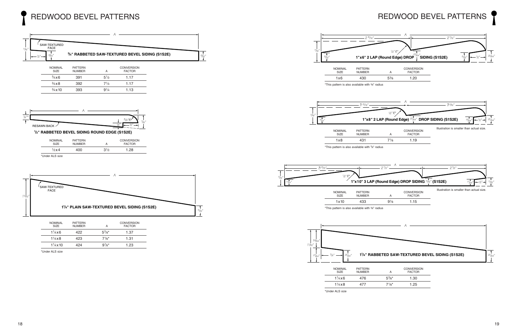

A SAW-TEXTURED FACE 1 <sup>3</sup>/32" **11 /4" PLAIN SAW-TEXTURED BEVEL SIDING (S1S2E)**  $\overline{1}$  $5/16"$ 







**1 /2" RABBETED BEVEL SIDING ROUND EDGE (S1S2E)**







 $\overline{+}$ 

| <b>NOMINAL</b><br><b>SIZE</b> | PALLERN<br><b>NUMBER</b> |  |
|-------------------------------|--------------------------|--|
| $1\frac{1}{4}x6$              | 476                      |  |
| $1\frac{1}{4} \times 8$       | 477                      |  |
| *Under ALS size               |                          |  |

# REDWOOD BEVEL PATTERNS

 $7\frac{1}{8}$  1.25



| $\frac{3}{4}$ x 6      | 391 | $5\frac{1}{2}$ | 1.17 |
|------------------------|-----|----------------|------|
| $\frac{3}{4} \times 8$ | 392 | $7\frac{1}{4}$ | 1.17 |
| $\frac{3}{4}$ x 10     | 393 | $9\frac{1}{4}$ | 1.13 |
|                        |     |                |      |

| <b>NOMINAL</b><br>SIZE | <b>PATTERN</b><br><b>NUMBER</b> |                | <b>CONVERSION</b><br><b>FACTOR</b> |
|------------------------|---------------------------------|----------------|------------------------------------|
| $1/2 \times 4$         | 400                             | $3\frac{1}{2}$ | 1.28                               |
| *Under ALS size        |                                 |                |                                    |

| <b>NOMINAL</b><br>SIZE   | <b>PATTERN</b><br><b>NUMBER</b> | А              | <b>CONVERSION</b><br><b>FACTOR</b> |  |
|--------------------------|---------------------------------|----------------|------------------------------------|--|
| $1\frac{1}{4}x6$         | 422.                            | $5^{3}/8*$     | 1.37                               |  |
| $1\frac{1}{4}x8$         | 423                             | $7\frac{1}{8}$ | 1.31                               |  |
| $1\frac{1}{4} \times 10$ | 424                             | $9\frac{1}{8}$ | 1.23                               |  |
|                          |                                 |                |                                    |  |

\*Under ALS size

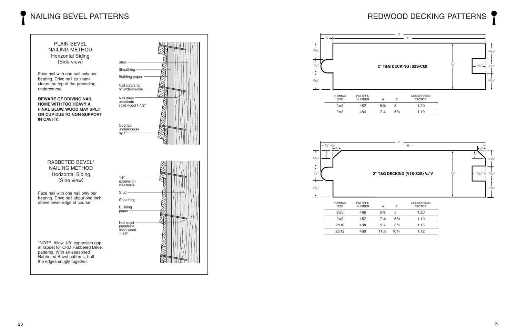## NAILING BEVEL PATTERNS





| <b>NOMINAL</b><br>SIZE. | <b>PATTERN</b><br><b>NUMBER</b> |                  |      | <b>CONVERSION</b><br><b>FACTOR</b> |
|-------------------------|---------------------------------|------------------|------|------------------------------------|
| 2x6                     | 482                             | $5\%$            | b    | 1.20                               |
| 2x8                     | 484                             | 71/ <sub>8</sub> | 63/4 | 1.19                               |

| <b>NOMINAL</b><br>SIZE | <b>PATTERN</b><br><b>NUMBER</b> | А               | В              | <b>CONVERSION</b><br><b>FACTOR</b> |
|------------------------|---------------------------------|-----------------|----------------|------------------------------------|
| 2x6                    | 486                             | $5\%$           | 5              | 1.20                               |
| 2x8                    | 487                             | $7\frac{1}{8}$  | $6\frac{3}{4}$ | 1.19                               |
| 2x10                   | 488                             | $9\frac{1}{8}$  | $8^{3}/4$      | 1.15                               |
| 2x12                   | 489                             | $11\frac{1}{8}$ | $10^{3}/4$     | 1.12                               |

## REDWOOD DECKING PATTERNS





 $-3/8"$  $\overline{\textbf{r}}$  $17/32'$  $\frac{17}{32}$ "



Face nail with one nail only per bearing. Drive nail so shank clears the top of the preceding undercourse.

**BEWARE OF DRIVING NAIL HOME WITH TOO HEAVY A FINAL BLOW. WOOD MAY SPLIT OR CUP DUE TO NON-SUPPORT IN CAVITY.**

### RABBETED BEVEL\* NAILING METHOD Horizontal Siding (Side view)

Face nail with one nail only per bearing. Drive nail about one inch above lower edge of course.

\*NOTE: Allow 1/8'' expansion gap at rabbet for CKD Rabbeted Bevel patterns. With air-seasoned Rabbeted Bevel patterns, butt the edges snugly together.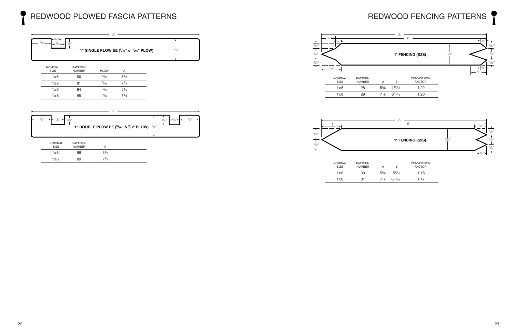







| <b>NOMINAL</b><br><b>SIZE</b> | PATTERN<br><b>NUMBER</b> |       | В              | <b>CONVERSION</b><br><b>FACTOR</b> |
|-------------------------------|--------------------------|-------|----------------|------------------------------------|
| 1 x 6                         | 30                       | $5\%$ | $5\frac{3}{2}$ | 1.18                               |
| 1x8                           | 31                       | 71⁄8  | 627/32         | 1.17                               |

# REDWOOD FENCING PATTERNS

|      |                | .    |
|------|----------------|------|
| 5%   | $4^{15}/_{16}$ | 1.22 |
| 71⁄8 | $6^{11}/16$    | 1.20 |

| <b>NOMINAL</b><br><b>SIZE</b> | <b>PATTERN</b><br><b>NUMBER</b> | <b>PLOW</b>    | А              |  |
|-------------------------------|---------------------------------|----------------|----------------|--|
| 1x6                           | 80                              | $\frac{5}{16}$ | $5\frac{1}{2}$ |  |
| 1x8                           | 81                              | $\frac{5}{16}$ | $7^{1/4}$      |  |
| 1x6                           | 84                              | $\frac{7}{16}$ | $5\frac{1}{2}$ |  |
| 1x8                           | 85                              | $\frac{7}{16}$ | $7^{1/4}$      |  |

| <b>NOMINAL</b><br>SIZE | <b>PATTERN</b><br><b>NUMBER</b> |                |  |
|------------------------|---------------------------------|----------------|--|
| 1x6                    | 88                              | $5\frac{1}{2}$ |  |
| 1x8                    | 89                              | $7\frac{1}{4}$ |  |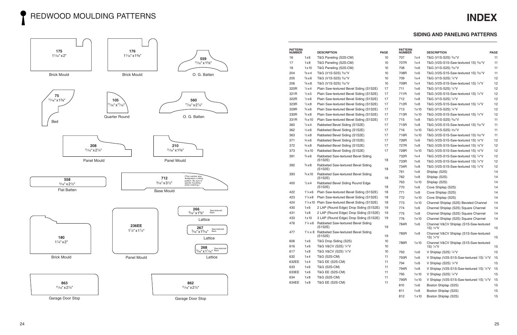## REDWOOD MOULDING PATTERNS



| <b>PATTERN</b><br><b>NUMBER</b> |                         | <b>DESCRIPTION</b>                                                  | <b>PAGE</b>     | <b>PATTERN</b><br><b>NUMBER</b> |               | <b>DESCRIPTION</b>                                                         | <b>PAGE</b> |
|---------------------------------|-------------------------|---------------------------------------------------------------------|-----------------|---------------------------------|---------------|----------------------------------------------------------------------------|-------------|
| 16                              | 1x6                     | T&G Paneling (S2S-CM)                                               | 10              | 707                             | 1x4           | T&G (V1S-S2S) ¾2"V                                                         | 11          |
| 17                              | 1x8                     | T&G Paneling (S2S-CM)                                               | 10 <sup>°</sup> | 707R                            | 1x4           | T&G (V2S-S1S-Saw-textured 1S) 3/32"V                                       | 11          |
| 18                              | 1x10                    | T&G Paneling (S2S-CM)                                               | 10              | 708                             | 1x6           | T&G (V1S-S2S) 3/32"V                                                       | 11          |
| 204                             | $\frac{5}{8}x4$         | T&G (V1S-S2S) 3/32"V                                                | 10 <sup>°</sup> | 708R                            | 1x6           | T&G (V2S-S1S-Saw-textured 1S) 3/32"V                                       | 11          |
| 205                             | $\frac{5}{8}$ x 6       | T&G (V1S-S2S) 3/32"V                                                | 10              | 709                             | 1x4           | T&G (V1S-S2S) ¼"V                                                          | 12          |
| 206                             | %x8                     | T&G (V1S-S2S) 3/32"V                                                | 10 <sup>°</sup> | 709R                            | 1x4           | T&G (V2S-S1S-Saw-textured 1S) 1/4"V                                        | 12          |
| 320R                            | $\frac{1}{2}x4$         | Plain Saw-textured Bevel Siding (S1S2E)                             | 17              | 711                             | 1x6           | T&G (V1S-S2S) 1/4"V                                                        | 12          |
| 321R                            | $1/2\times 5$           | Plain Saw-textured Bevel Siding (S1S2E)                             | 17              | 711R                            | 1x6           | T&G (V2S-S1S-Saw-textured 1S) 1/4"V                                        | 12          |
| 322R                            | $\frac{1}{2}$ x 6       | Plain Saw-textured Bevel Siding (S1S2E)                             | 17              | 712                             | 1x8           | T&G (V1S-S2S) 1/4"V                                                        | 12          |
| 323R                            | $\frac{1}{2}x8$         | Plain Saw-textured Bevel Siding (S1S2E)                             | 17              | 712R                            | 1x8           | T&G (V2S-S1S-Saw-textured 1S) 1/4"V                                        | 12          |
| 329R                            | $\frac{3}{4}$ x 6       | Plain Saw-textured Bevel Siding (S1S2E)                             | 17              | 713                             | $1 \times 10$ | T&G (V1S-S2S) 1/4"V                                                        | 12          |
| 330R                            | $\frac{3}{4} \times 8$  | Plain Saw-textured Bevel Siding (S1S2E)                             | 17              | 713R                            | 1x10          | T&G (V2S-S1S-Saw-textured 1S) 1/4"V                                        | 12          |
| 331R                            | $\frac{3}{4}$ x 10      | Plain Saw-textured Bevel Siding (S1S2E)                             | 17              | 715                             | 1x8           | T&G (V1S-S2S) 3/32"V                                                       | 11          |
| 360                             | $\frac{1}{2}x4$         | Rabbeted Bevel Siding (S1S2E)                                       | 17              | 715R                            | 1x8           | T&G (V2S-S1S-Saw-textured 1S) 3/32"V                                       | 11          |
| 362                             | $\frac{1}{2}x6$         | Rabbeted Bevel Siding (S1S2E)                                       | 17              | 716                             | 1x10          | T&G (V1S-S2S) 3/32"V                                                       | 11          |
| 363                             | $\frac{1}{2}x8$         | Rabbeted Bevel Siding (S1S2E)                                       | 17              | 716R                            | 1x10          | T&G (V2S-S1S-Saw-textured 1S) 3/32"V                                       | 11          |
| 371                             | $\frac{3}{4}$ x 6       | Rabbeted Bevel Siding (S1S2E)                                       | 17              | 726R                            | 1x6           | T&G (V2S-S1S-Saw-textured 1S) 1/8"V                                        | 12          |
| 372                             | $\frac{3}{4} \times 8$  | Rabbeted Bevel Siding (S1S2E)                                       | 17              | 727R                            | 1x8           | T&G (V2S-S1S-Saw-textured 1S) 1/8"V                                        | 12          |
| 373                             | $\frac{3}{4}$ x 10      | Rabbeted Bevel Siding (S1S2E)                                       | 17              | 728R                            | 1x10          | T&G (V2S-S1S-Saw-textured 1S) 1/8"V                                        | 12          |
| 391                             | $\frac{3}{4}x6$         | Rabbeted Saw-textured Bevel Siding<br>(S1S2E)                       | 18              | 732R<br>733R                    | 1x4<br>1x6    | T&G (V2S-S1S-Saw-textured 1S) 1/4"V<br>T&G (V2S-S1S-Saw-textured 1S) 1/4"V | 12<br>12    |
| 392                             | $\frac{3}{4}$ x 8       | Rabbeted Saw-textured Bevel Siding<br>(S1S2E)                       | 18              | 734R                            | 1x8           | T&G (V2S-S1S-Saw-textured 1S) 1/4"V                                        | 12          |
| 393                             | $\frac{3}{4}$ x 10      | Rabbeted Saw-textured Bevel Siding                                  |                 | 761                             | 1x6           | Shiplap (S2S)                                                              | 14          |
|                                 |                         | (S1S2E)                                                             | 18              | 762                             | 1x8           | Shiplap (S2S)                                                              | 14          |
| 400                             | $\frac{1}{2}x4$         | Rabbeted Bevel Siding Round Edge                                    |                 | 763                             | 1x10          | Shiplap (S2S)                                                              | 14          |
|                                 |                         | (S1S2E)                                                             | 18              | 770                             | 1x6           | Cove Shiplap (S2S)                                                         | 14          |
| 422                             | $1\frac{1}{4}x6$        | Plain Saw-textured Bevel Siding (S1S2E)                             | 18              | 771                             | 1x8           | Cove Shiplap (S2S)                                                         | 14          |
| 423                             | $1\frac{1}{4} \times 8$ | Plain Saw-textured Bevel Siding (S1S2E)                             | 18              | 772                             | 1x10          | Cove Shiplap (S2S)                                                         | 14          |
| 424                             |                         | 1 <sup>1</sup> /4x10 Plain Saw-textured Bevel Siding (S1S2E)        | 18              | 773                             | 1x10          | Channel Shiplap (S2S) Beveled Channel                                      | 14          |
| 430                             | 1x6                     | 2 LAP (Round Edge) Drop Siding (S1S2E)                              | 19              | 774                             | 1x6           | Channel Shiplap (S2S) Square Channel                                       | 14          |
| 431                             | 1x8                     | 2 LAP (Round Edge) Drop Siding (S1S2E)                              | 19              | 775                             | 1x8           | Channel Shiplap (S2S) Square Channel                                       | 14          |
| 433                             | 1x10                    | 3 LAP (Round Edge) Drop Siding (S1S2E)                              | 19              | 776                             | 1x10          | Channel Shiplap (S2S) Square Channel                                       | 14          |
| 476                             | $1\frac{1}{4}x6$        | Rabbeted Saw-textured Bevel Siding<br>(S1S2E)                       | 19              | 784R                            | 1x6           | Channel V&CV Shiplap (S1S-Saw-textured<br>1S) ¼"V                          | 15          |
| 477                             |                         | 1 <sup>1</sup> /4 x 8 Rabbeted Saw-textured Bevel Siding<br>(S1S2E) | 19              | 785R                            | 1x8           | Channel V&CV Shiplap (S1S-Saw-textured<br>1S) 1/4"V                        | 15          |
| 606                             | 1x6                     | T&G Drop Siding (S2S)                                               | 10              | 786R                            | 1x10          | Channel V&CV Shiplap (S1S-Saw-textured                                     |             |
| 616                             | 1x6                     | T&G V&CV (S2S) 1/4"V                                                | 10              |                                 |               | 1S) 1/4"V                                                                  | 15          |
| 617                             | 1x8                     | T&G V&CV (S2S) 1/4"V                                                | 10              | 793                             | 1x6           | V Shiplap (S2S) 1/4"V                                                      | 15          |
| 632                             | 1x4                     | T&G (S2S-CM)                                                        | 11              | 793R                            | 1x6           | V Shiplap (V2S-S1S-Saw-textured 1S) 1/4"V                                  | 15          |
| 632EE                           | 1x4                     | T&G EE (S2S-CM)                                                     | 11              | 794                             | 1x8           | V Shiplap (S2S) 1/4"V                                                      | 15          |
| 633                             | 1x6                     | T&G (S2S-CM)                                                        | 11              | 794R                            | 1x8           | V Shiplap (V2S-S1S-Saw-textured 1S) 1/4"V                                  | 15          |
| 633EE                           | 1x6                     | T&G EE (S2S-CM)                                                     | 11              | 795                             | 1x10          | V Shiplap (S2S) 1/4"V                                                      | 15          |
| 634                             | 1x8                     | T&G (S2S-CM)                                                        | 11              | 795R                            | 1x10          | V Shiplap (V2S-S1S-Saw-textured 1S) 1/4"V                                  | 15          |
| 634EE                           | 1x8                     | T&G EE (S2S-CM)                                                     | 11              | 810                             | 1x6           | Boston Shiplap (S2S)                                                       | 15          |
|                                 |                         |                                                                     |                 |                                 |               |                                                                            |             |
|                                 |                         |                                                                     |                 | 811                             | 1x8           | Boston Shiplap (S2S)                                                       | 15          |
|                                 |                         |                                                                     |                 | 812                             | $1 \times 10$ | Boston Shiplap (S2S)                                                       | 15          |

## **INDEX**

## **SIDING AND PANELING PATTERNS**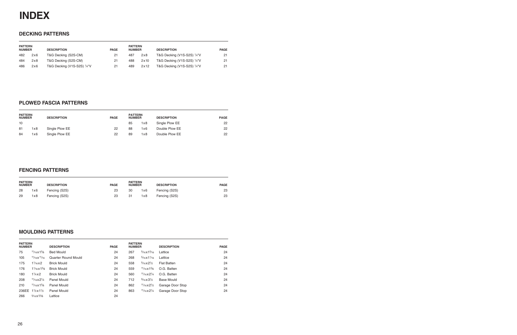

### **DECKING PATTERNS**

| <b>PATTERN</b><br><b>NUMBER</b> |     | <b>DESCRIPTION</b>          | <b>PAGE</b> | <b>PATTERN</b><br><b>NUMBER</b> |      | <b>DESCRIPTION</b>                     | <b>PAGE</b> |
|---------------------------------|-----|-----------------------------|-------------|---------------------------------|------|----------------------------------------|-------------|
| 482                             | 2x6 | T&G Decking (S2S-CM)        | 21          | 487                             | 2x8  | T&G Decking (V1S-S2S) 1/4"V            | 21          |
| 484                             | 2x8 | T&G Decking (S2S-CM)        | 21          | 488                             | 2x10 | T&G Decking (V1S-S2S) $\frac{1}{4}$ "V | 21          |
| 486                             | 2x6 | T&G Decking (V1S-S2S) 1/4"V | 21          | 489                             | 2x12 | T&G Decking (V1S-S2S) 1/4"V            | 21          |

## **PLOWED FASCIA PATTERNS**

| <b>PATTERN</b><br><b>NUMBER</b> |     | <b>DESCRIPTION</b> | <b>PAGE</b> | <b>PATTERN</b><br><b>NUMBER</b> |     | <b>DESCRIPTION</b> | <b>PAGE</b> |
|---------------------------------|-----|--------------------|-------------|---------------------------------|-----|--------------------|-------------|
| 10                              |     |                    |             | 85                              | 1x8 | Single Plow EE     | 22          |
| 81                              | 1x8 | Single Plow EE     | 22          | 88                              | 1x6 | Double Plow EE     | 22          |
| 84                              | 1x6 | Single Plow EE     | 22          | 89                              | 1x8 | Double Plow EE     | 22          |

### **FENCING PATTERNS**

| <b>PATTERN</b><br><b>NUMBER</b> |     | <b>DESCRIPTION</b> | <b>PAGE</b> | <b>PATTERN</b><br><b>NUMBER</b> |     | <b>DESCRIPTION</b> | <b>PAGE</b> |
|---------------------------------|-----|--------------------|-------------|---------------------------------|-----|--------------------|-------------|
| 28                              | 1x6 | Fencing (S2S)      | 23          | 30                              | 1x6 | Fencing (S2S)      | 23          |
| 29                              | 1x8 | Fencing (S2S)      | 23          | 31                              | 1x8 | Fencing (S2S)      | 23          |

## **MOULDING PATTERNS**

| <b>PATTERN</b><br><b>NUMBER</b> |                                   | <b>DESCRIPTION</b>  | <b>PAGE</b> | <b>PATTERN</b><br><b>NUMBER</b> |                                    | <b>DESCRIPTION</b> | <b>PAGE</b> |
|---------------------------------|-----------------------------------|---------------------|-------------|---------------------------------|------------------------------------|--------------------|-------------|
| 75                              | $11/16\times15/8$                 | <b>Bed Mould</b>    | 24          | 267                             | $\frac{5}{16}$ x 1 $\frac{5}{16}$  | Lattice            | 24          |
| 105                             | $\frac{11}{16}$ x $\frac{11}{16}$ | Quarter Round Mould | 24          | 268                             | $\frac{5}{16}$ x 1 $\frac{1}{16}$  | Lattice            | 24          |
| 175                             | $1\frac{1}{16}$ x 2               | <b>Brick Mould</b>  | 24          | 558                             | $\frac{5}{16}$ x 2 $\frac{1}{2}$   | Flat Batten        | 24          |
| 176                             | $1\frac{1}{18}$ x $1\frac{5}{8}$  | <b>Brick Mould</b>  | 24          | 559                             | $11/16 \times 15/8$                | O.G. Batten        | 24          |
| 180                             | $1\frac{1}{4}x2$                  | <b>Brick Mould</b>  | 24          | 560                             | $11/16 \times 21/4$                | O.G. Batten        | 24          |
| 208                             | $\frac{11}{46}$ x 2 $\frac{1}{4}$ | Panel Mould         | 24          | 712                             | $\frac{9}{16}$ x 3 <sup>1</sup> /2 | Base Mould         | 24          |
| 210                             | $11/16 \times 15/8$               | Panel Mould         | 24          | 862                             | $\frac{11}{16}$ x 2 $\frac{1}{2}$  | Garage Door Stop   | 24          |
| 236EE                           | $1\frac{1}{2}x1\frac{1}{2}$       | Panel Mould         | 24          | 863                             | $11/16 \times 21/4$                | Garage Door Stop   | 24          |
| 266                             | $\frac{5}{16}$ x 1 $\frac{5}{8}$  | Lattice             | 24          |                                 |                                    |                    |             |